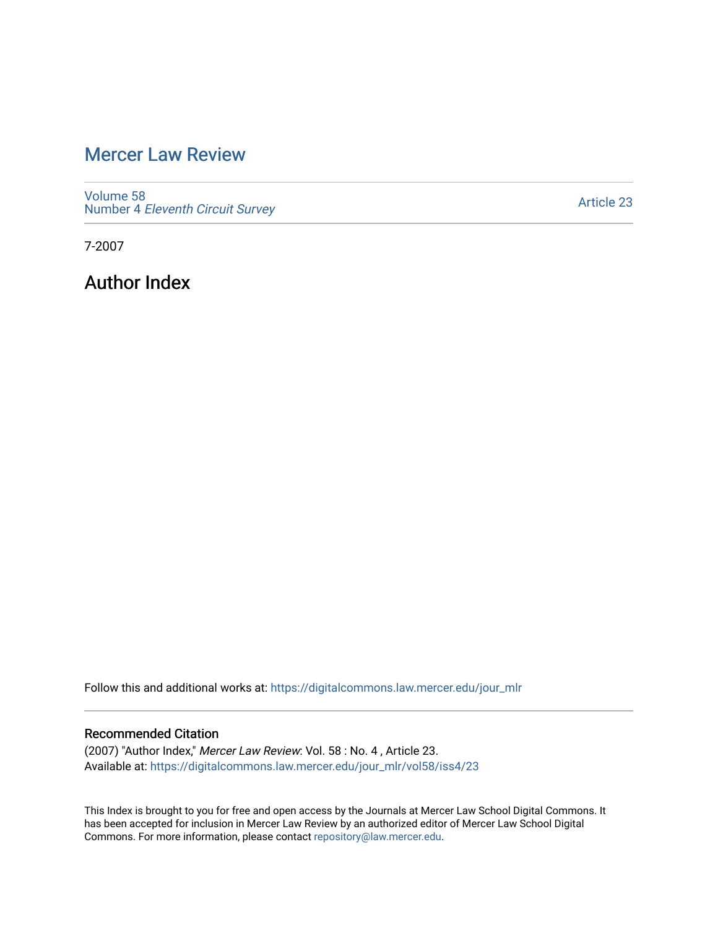## [Mercer Law Review](https://digitalcommons.law.mercer.edu/jour_mlr)

[Volume 58](https://digitalcommons.law.mercer.edu/jour_mlr/vol58) Number 4 [Eleventh Circuit Survey](https://digitalcommons.law.mercer.edu/jour_mlr/vol58/iss4) 

[Article 23](https://digitalcommons.law.mercer.edu/jour_mlr/vol58/iss4/23) 

7-2007

Author Index

Follow this and additional works at: [https://digitalcommons.law.mercer.edu/jour\\_mlr](https://digitalcommons.law.mercer.edu/jour_mlr?utm_source=digitalcommons.law.mercer.edu%2Fjour_mlr%2Fvol58%2Fiss4%2F23&utm_medium=PDF&utm_campaign=PDFCoverPages)

## Recommended Citation

(2007) "Author Index," Mercer Law Review: Vol. 58 : No. 4 , Article 23. Available at: [https://digitalcommons.law.mercer.edu/jour\\_mlr/vol58/iss4/23](https://digitalcommons.law.mercer.edu/jour_mlr/vol58/iss4/23?utm_source=digitalcommons.law.mercer.edu%2Fjour_mlr%2Fvol58%2Fiss4%2F23&utm_medium=PDF&utm_campaign=PDFCoverPages) 

This Index is brought to you for free and open access by the Journals at Mercer Law School Digital Commons. It has been accepted for inclusion in Mercer Law Review by an authorized editor of Mercer Law School Digital Commons. For more information, please contact [repository@law.mercer.edu.](mailto:repository@law.mercer.edu)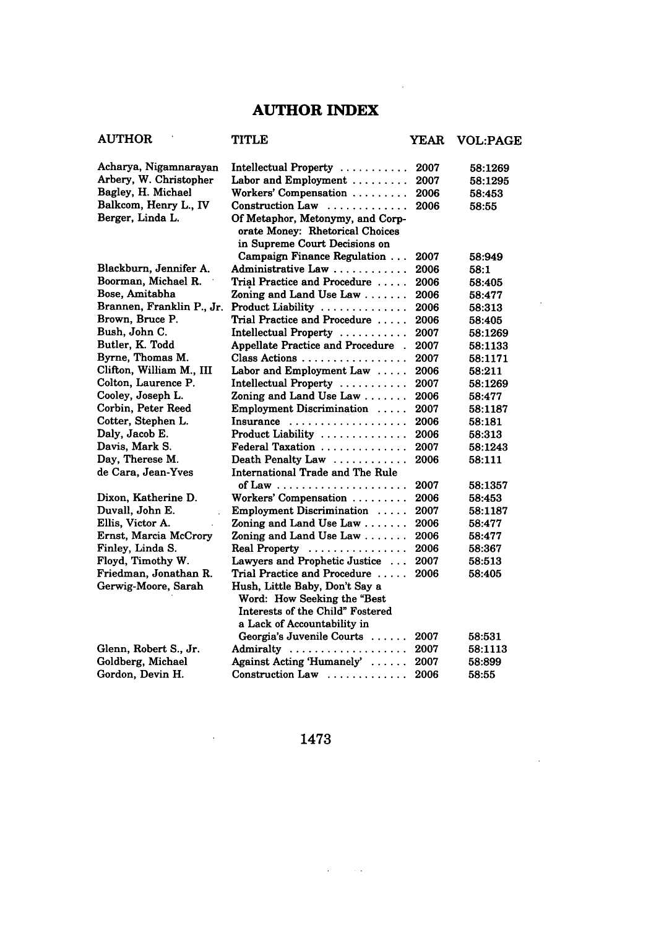## **AUTHOR INDEX**

 $\sim$  .

| <b>AUTHOR</b>             | <b>TITLE</b>                                                                                         | <b>YEAR</b> | <b>VOL:PAGE</b> |
|---------------------------|------------------------------------------------------------------------------------------------------|-------------|-----------------|
| Acharya, Nigamnarayan     | Intellectual Property                                                                                | 2007        | 58:1269         |
| Arbery, W. Christopher    | Labor and Employment $\dots\dots\dots$                                                               | 2007        | 58:1295         |
| Bagley, H. Michael        | Workers' Compensation                                                                                | 2006        | 58:453          |
| Balkcom, Henry L., IV     | Construction Law                                                                                     | 2006        | 58:55           |
| Berger, Linda L.          | Of Metaphor, Metonymy, and Corp-<br>orate Money: Rhetorical Choices<br>in Supreme Court Decisions on |             |                 |
|                           | Campaign Finance Regulation                                                                          | 2007        | 58:949          |
| Blackburn, Jennifer A.    | Administrative Law                                                                                   | 2006        | 58:1            |
| Boorman, Michael R.       | Trial Practice and Procedure                                                                         | 2006        | 58:405          |
| Bose, Amitabha            | Zoning and Land Use Law                                                                              | 2006        | 58:477          |
| Brannen, Franklin P., Jr. | Product Liability                                                                                    | 2006        | 58:313          |
| Brown, Bruce P.           | Trial Practice and Procedure                                                                         | 2006        | 58:405          |
| Bush, John C.             | Intellectual Property                                                                                | 2007        | 58:1269         |
| Butler, K. Todd           | Appellate Practice and Procedure.                                                                    | 2007        | 58:1133         |
| Byrne, Thomas M.          | Class Actions                                                                                        | 2007        | 58:1171         |
| Clifton, William M., III  | Labor and Employment Law                                                                             | 2006        | 58:211          |
| Colton, Laurence P.       | Intellectual Property                                                                                | 2007        | 58:1269         |
| Cooley, Joseph L.         | Zoning and Land Use Law                                                                              | 2006        | 58:477          |
| Corbin, Peter Reed        | Employment Discrimination                                                                            | 2007        | 58:1187         |
| Cotter, Stephen L.        | Insurance                                                                                            | 2006        | 58:181          |
| Daly, Jacob E.            | Product Liability                                                                                    | 2006        | 58:313          |
| Davis, Mark S.            | Federal Taxation                                                                                     | 2007        | 58:1243         |
| Day, Therese M.           | Death Penalty Law                                                                                    | 2006        | 58:111          |
| de Cara, Jean-Yves        | International Trade and The Rule                                                                     |             |                 |
|                           | of Law $\ldots \ldots \ldots \ldots \ldots \ldots$                                                   | 2007        | 58:1357         |
| Dixon, Katherine D.       | Workers' Compensation                                                                                | 2006        | 58:453          |
| Duvall, John E.           | Employment Discrimination                                                                            | 2007        | 58:1187         |
| Ellis, Victor A.          | Zoning and Land Use Law $\ldots$                                                                     | 2006        | 58:477          |
| Ernst, Marcia McCrory     | Zoning and Land Use Law $\ldots \ldots$                                                              | 2006        | 58:477          |
| Finley, Linda S.          | Real Property                                                                                        | 2006        | 58:367          |
| Floyd, Timothy W.         | Lawyers and Prophetic Justice                                                                        | 2007        | 58:513          |
| Friedman, Jonathan R.     | Trial Practice and Procedure                                                                         | 2006        | 58:405          |
| Gerwig-Moore, Sarah       | Hush, Little Baby, Don't Say a<br>Word: How Seeking the "Best                                        |             |                 |
|                           | Interests of the Child" Fostered                                                                     |             |                 |
|                           | a Lack of Accountability in                                                                          |             |                 |
|                           | Georgia's Juvenile Courts                                                                            | 2007        | 58:531          |
| Glenn, Robert S., Jr.     | Admiralty                                                                                            | 2007        | 58:1113         |
| Goldberg, Michael         | Against Acting 'Humanely'                                                                            | 2007        | 58.899          |
| Gordon, Devin H.          | Construction Law                                                                                     | 2006        | 58:55           |

1473

 $\sim$   $\sim$ 

 $\sim 100$  km s  $^{-1}$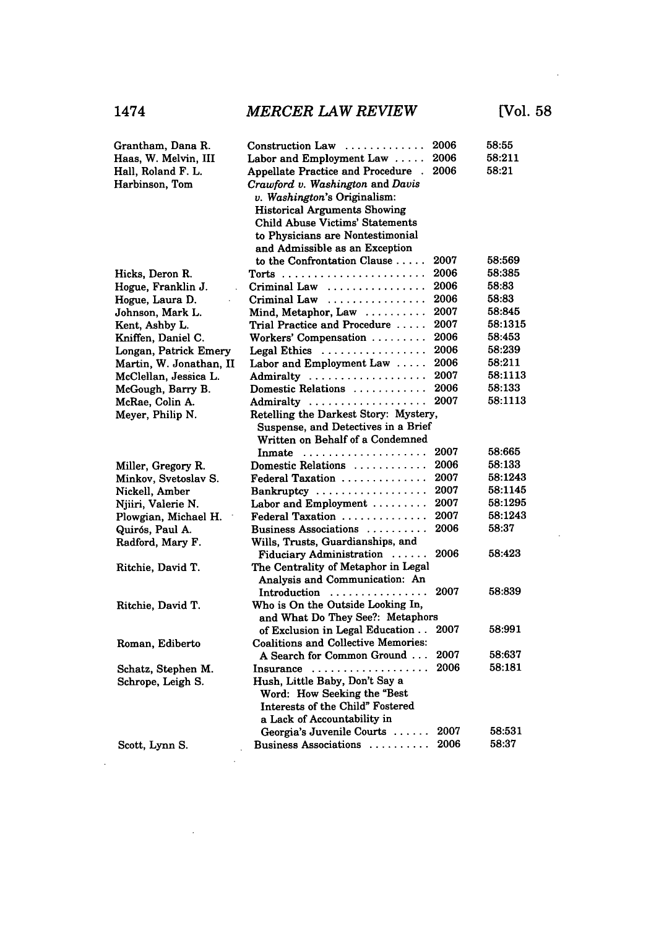$\sim$   $\sim$ 

| Grantham, Dana R.       | Construction Law                                  | 2006 | 58:55   |
|-------------------------|---------------------------------------------------|------|---------|
| Haas, W. Melvin, III    | Labor and Employment Law $\dots$ .                | 2006 | 58:211  |
| Hall, Roland F. L.      | <b>Appellate Practice and Procedure</b>           | 2006 | 58:21   |
| Harbinson, Tom          | Crawford v. Washington and Davis                  |      |         |
|                         | v. Washington's Originalism:                      |      |         |
|                         | <b>Historical Arguments Showing</b>               |      |         |
|                         | Child Abuse Victims' Statements                   |      |         |
|                         | to Physicians are Nontestimonial                  |      |         |
|                         | and Admissible as an Exception                    |      |         |
|                         | to the Confrontation Clause                       | 2007 | 58:569  |
| Hicks, Deron R.         |                                                   | 2006 | 58:385  |
| Hogue, Franklin J.      | Criminal Law                                      | 2006 | 58.83   |
| Hogue, Laura D.         | Criminal Law                                      | 2006 | 58:83   |
| Johnson, Mark L.        | Mind, Metaphor, Law $\ldots \ldots$               | 2007 | 58:845  |
| Kent, Ashby L.          | Trial Practice and Procedure                      | 2007 | 58:1315 |
| Kniffen, Daniel C.      | Workers' Compensation                             | 2006 | 58:453  |
| Longan, Patrick Emery   | Legal Ethics $\ldots \ldots \ldots \ldots \ldots$ | 2006 | 58:239  |
| Martin, W. Jonathan, II | Labor and Employment Law $\dots$ .                | 2006 | 58:211  |
| McClellan, Jessica L.   | Admiralty                                         | 2007 | 58:1113 |
| McGough, Barry B.       | Domestic Relations                                | 2006 | 58:133  |
| McRae, Colin A.         | Admiralty                                         | 2007 | 58:1113 |
| Meyer, Philip N.        | Retelling the Darkest Story: Mystery,             |      |         |
|                         | Suspense, and Detectives in a Brief               |      |         |
|                         | Written on Behalf of a Condemned                  |      |         |
|                         | In mate $\ldots \ldots \ldots \ldots \ldots$      | 2007 | 58:665  |
| Miller, Gregory R.      | Domestic Relations                                | 2006 | 58:133  |
| Minkov, Svetoslav S.    | Federal Taxation                                  | 2007 | 58:1243 |
| Nickell, Amber          | Bankruptcy                                        | 2007 | 58:1145 |
| Njiiri, Valerie N.      | Labor and Employment $\dots\dots\dots$            | 2007 | 58:1295 |
| Plowgian, Michael H.    | Federal Taxation                                  | 2007 | 58:1243 |
| Quirós, Paul A.         | Business Associations                             | 2006 | 58:37   |
| Radford, Mary F.        | Wills, Trusts, Guardianships, and                 |      |         |
|                         | Fiduciary Administration                          | 2006 | 58:423  |
| Ritchie, David T.       | The Centrality of Metaphor in Legal               |      |         |
|                         | Analysis and Communication: An                    |      |         |
|                         | Introduction                                      | 2007 | 58:839  |
| Ritchie, David T.       | Who is On the Outside Looking In,                 |      |         |
|                         | and What Do They See?: Metaphors                  |      |         |
|                         | of Exclusion in Legal Education                   | 2007 | 58:991  |
| Roman, Ediberto         | <b>Coalitions and Collective Memories:</b>        |      |         |
|                         | A Search for Common Ground                        | 2007 | 58:637  |
| Schatz, Stephen M.      | Insurance                                         | 2006 | 58:181  |
| Schrope, Leigh S.       | Hush, Little Baby, Don't Say a                    |      |         |
|                         | Word: How Seeking the "Best                       |      |         |
|                         | Interests of the Child" Fostered                  |      |         |
|                         | a Lack of Accountability in                       |      |         |
|                         | Georgia's Juvenile Courts $\dots$ .               | 2007 | 58:531  |
| Scott, Lynn S.          | Business Associations                             | 2006 | 58:37   |
|                         |                                                   |      |         |

 $\sim$ 

 $\sim$   $\sim$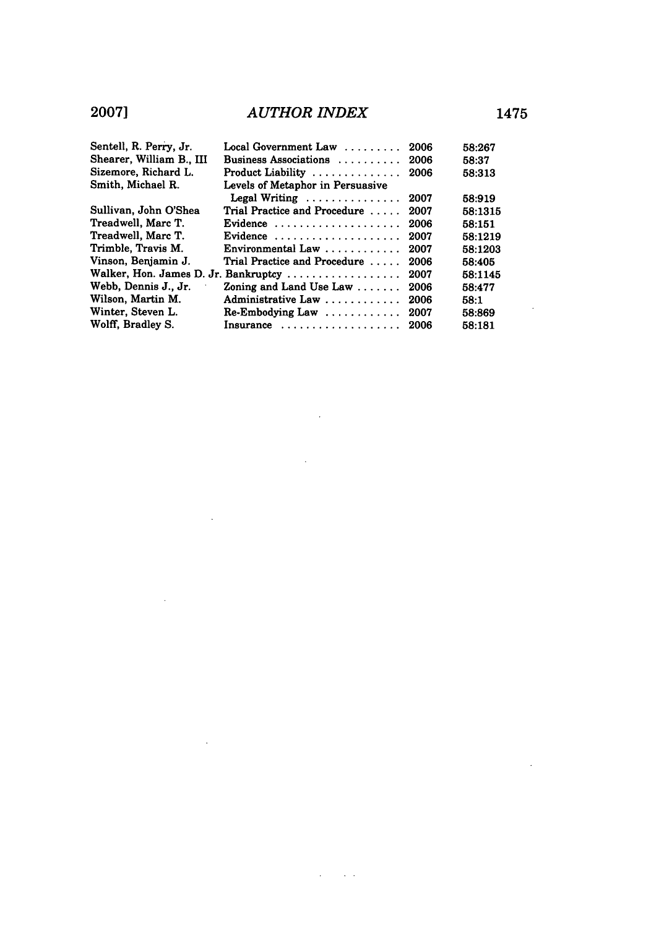| Sentell, R. Perry, Jr.   | $Local Government Law$                | 2006 | 58:267  |
|--------------------------|---------------------------------------|------|---------|
| Shearer, William B., III | Business Associations                 | 2006 | 58:37   |
| Sizemore, Richard L.     | Product Liability                     | 2006 | 58:313  |
| Smith, Michael R.        | Levels of Metaphor in Persuasive      |      |         |
|                          | Legal Writing                         | 2007 | 58:919  |
| Sullivan, John O'Shea    | Trial Practice and Procedure          | 2007 | 58:1315 |
| Treadwell, Marc T.       | Evidence $\ldots$ ,                   | 2006 | 58:151  |
| Treadwell, Marc T.       | Evidence                              | 2007 | 58:1219 |
| Trimble, Travis M.       | Environmental Law $\ldots$ , $\ldots$ | 2007 | 58:1203 |
| Vinson, Benjamin J.      | Trial Practice and Procedure          | 2006 | 58:405  |
|                          | Walker, Hon. James D. Jr. Bankruptcy  | 2007 | 58:1145 |
| Webb, Dennis J., Jr.     | Zoning and Land Use Law $\dots\dots$  | 2006 | 58:477  |
| Wilson, Martin M.        | Administrative Law                    | 2006 | 58:1    |
| Winter, Steven L.        |                                       | 2007 | 58:869  |
| Wolff, Bradley S.        | Insurance                             | 2006 | 58:181  |

 $\overline{a}$ 

 $\sim$   $\sim$ 

 $\sim$   $\sim$ 

 $\bar{z}$ 

 $\sim$   $\sim$ 

 $\sim$